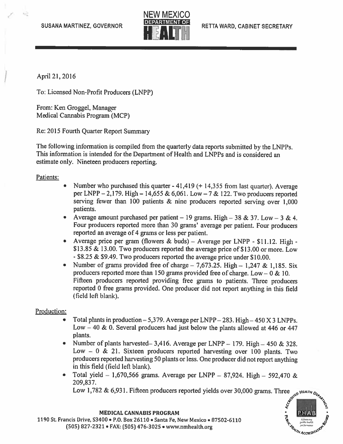

April 21, 2016

To: Licensed Non-Profit Producers (LNPP)

From: Ken Groggel, Manager Medical Cannabis Program (MCP)

Re: 2015 Fourth Quarter Report Summary

The following information is compiled from the quarterly data reports submitted by the LNPPs. This information is intended for the Department of Health and LNPPs and is considered an estimate only. Nineteen producers reporting.

Patients:

- Number who purchased this quarter  $-41,419$  ( $+ 14,355$  from last quarter). Average per LNPP —2,179. High — 14,655 & 6,061. Low —7 & 122. Two producers reported serving fewer than <sup>100</sup> patients & nine producers reported serving over 1,000 patients.
- •Average amount purchased per patient – 19 grams. High – 38 & 37. Low – 3 & 4. Four producers reported more than <sup>30</sup> grams' average per patient. Four producers reported an average of <sup>4</sup> grams or less per patient.
- Average price per gram (flowers & buds) Average per LNPP \$11.12. High -\$13.85 & 13.00. Two producers reported the average price of \$13.00 or more. Low - \$8.25 & \$9.49. Two producers reported the average price under \$10.00.
- •Number of grams provided free of charge  $-7,673.25$ . High  $-1,247$  & 1,185. Six producers reported more than 150 grams provided free of charge. Low  $-0 \& 10$ . Fifteen producers reported providing free grams to patients. Three producers reported <sup>0</sup> free grams provided. One producer did not repor<sup>t</sup> anything in this field (field left blank).

## Production:

- Total plants in production  $-5,379$ . Average per LNPP  $-283$ . High  $-450$  X 3 LNPPs. Low  $-40 \& 0$ . Several producers had just below the plants allowed at 446 or 447 plants.
- Number of <sup>p</sup>lants harvested— 3,416. Average per LNPP 179. High —450 & 328. Low  $-0$  & 21. Sixteen producers reported harvesting over 100 plants. Two producers reported harvesting <sup>50</sup> <sup>p</sup>lants or less. One producer did not repor<sup>t</sup> anything in this field (Field left blank).
- •Total yield – 1,670,566 grams. Average per LNPP – 87,924. High – 592,470 & 209,837.

Low 1,782 & 6,931. Fifteen producers reported <sup>y</sup>ields over 30,000 grams. Three HEALTH A



MEDICAL CANNABIS PROGRAM

1190 St. Francis Drive, 53400 • P.O. Box 26110 • Santa Fe, New Mexico • 87502-6110 (505) 827-2321 • FAX: (505) 476-3025 • www.nmhealth.org